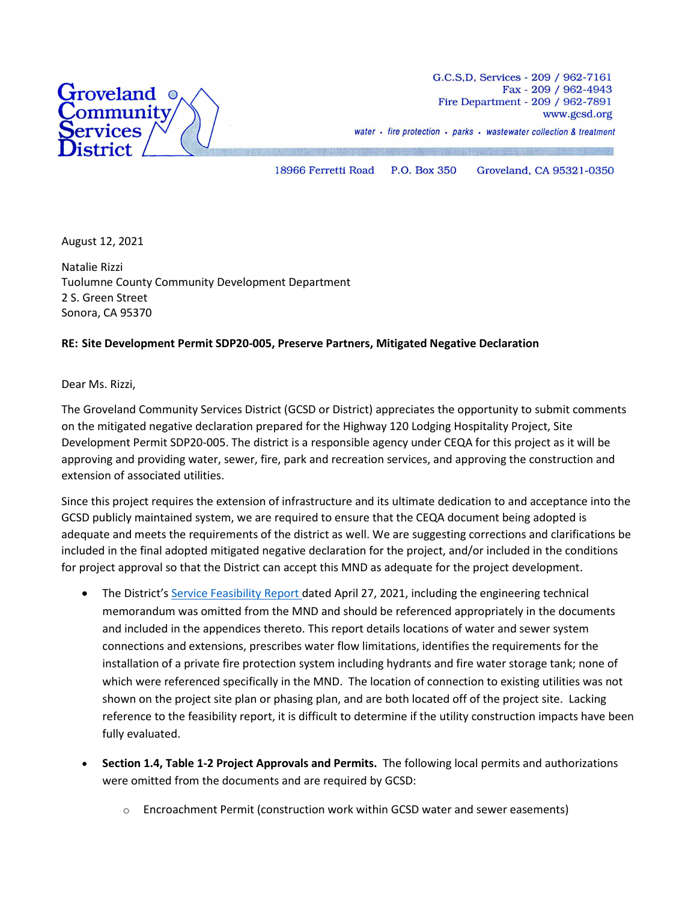

G.C.S.D. Services - 209 / 962-7161 Fax - 209 / 962-4943 Fire Department - 209 / 962-7891 www.gcsd.org water · fire protection · parks · wastewater collection & treatment

18966 Ferretti Road P.O. Box 350 Groveland, CA 95321-0350

August 12, 2021

Natalie Rizzi Tuolumne County Community Development Department 2 S. Green Street Sonora, CA 95370

#### **RE: Site Development Permit SDP20-005, Preserve Partners, Mitigated Negative Declaration**

Dear Ms. Rizzi,

The Groveland Community Services District (GCSD or District) appreciates the opportunity to submit comments on the mitigated negative declaration prepared for the Highway 120 Lodging Hospitality Project, Site Development Permit SDP20-005. The district is a responsible agency under CEQA for this project as it will be approving and providing water, sewer, fire, park and recreation services, and approving the construction and extension of associated utilities.

Since this project requires the extension of infrastructure and its ultimate dedication to and acceptance into the GCSD publicly maintained system, we are required to ensure that the CEQA document being adopted is adequate and meets the requirements of the district as well. We are suggesting corrections and clarifications be included in the final adopted mitigated negative declaration for the project, and/or included in the conditions for project approval so that the District can accept this MND as adequate for the project development.

- The District'[s Service Feasibility Report d](https://www.gcsd.org/files/4b909fe44/Feasibility+Letter+Report+w+Attachments+4-27-21.pdf)ated April 27, 2021, including the engineering technical memorandum was omitted from the MND and should be referenced appropriately in the documents and included in the appendices thereto. This report details locations of water and sewer system connections and extensions, prescribes water flow limitations, identifies the requirements for the installation of a private fire protection system including hydrants and fire water storage tank; none of which were referenced specifically in the MND. The location of connection to existing utilities was not shown on the project site plan or phasing plan, and are both located off of the project site. Lacking reference to the feasibility report, it is difficult to determine if the utility construction impacts have been fully evaluated.
- **Section 1.4, Table 1-2 Project Approvals and Permits.** The following local permits and authorizations were omitted from the documents and are required by GCSD:
	- $\circ$  Encroachment Permit (construction work within GCSD water and sewer easements)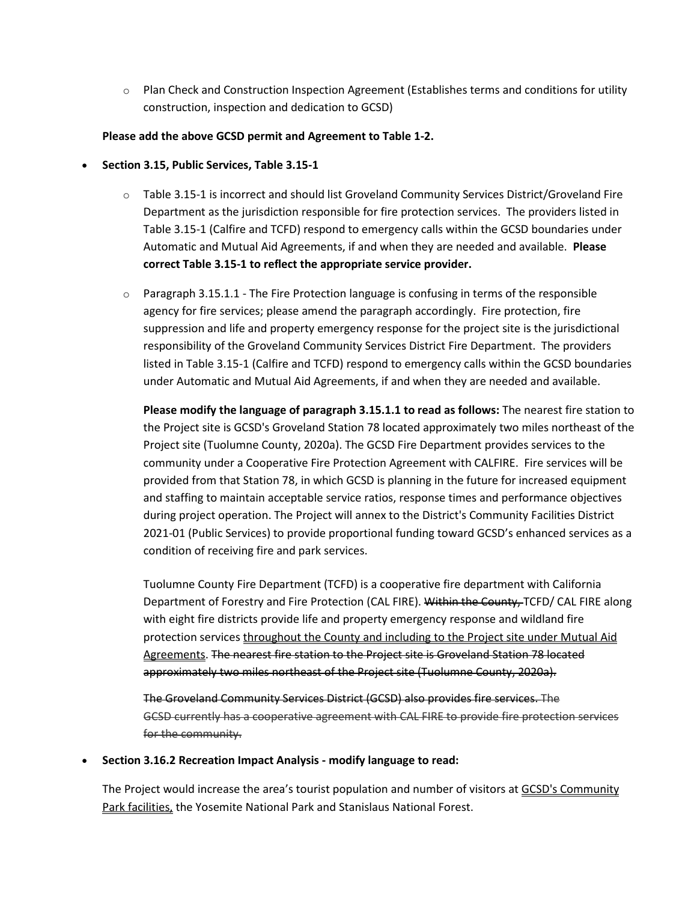$\circ$  Plan Check and Construction Inspection Agreement (Establishes terms and conditions for utility construction, inspection and dedication to GCSD)

## **Please add the above GCSD permit and Agreement to Table 1-2.**

- **Section 3.15, Public Services, Table 3.15-1**
	- o Table 3.15-1 is incorrect and should list Groveland Community Services District/Groveland Fire Department as the jurisdiction responsible for fire protection services. The providers listed in Table 3.15-1 (Calfire and TCFD) respond to emergency calls within the GCSD boundaries under Automatic and Mutual Aid Agreements, if and when they are needed and available. **Please correct Table 3.15-1 to reflect the appropriate service provider.**
	- $\circ$  Paragraph 3.15.1.1 The Fire Protection language is confusing in terms of the responsible agency for fire services; please amend the paragraph accordingly. Fire protection, fire suppression and life and property emergency response for the project site is the jurisdictional responsibility of the Groveland Community Services District Fire Department. The providers listed in Table 3.15-1 (Calfire and TCFD) respond to emergency calls within the GCSD boundaries under Automatic and Mutual Aid Agreements, if and when they are needed and available.

**Please modify the language of paragraph 3.15.1.1 to read as follows:** The nearest fire station to the Project site is GCSD's Groveland Station 78 located approximately two miles northeast of the Project site (Tuolumne County, 2020a). The GCSD Fire Department provides services to the community under a Cooperative Fire Protection Agreement with CALFIRE. Fire services will be provided from that Station 78, in which GCSD is planning in the future for increased equipment and staffing to maintain acceptable service ratios, response times and performance objectives during project operation. The Project will annex to the District's Community Facilities District 2021-01 (Public Services) to provide proportional funding toward GCSD's enhanced services as a condition of receiving fire and park services.

Tuolumne County Fire Department (TCFD) is a cooperative fire department with California Department of Forestry and Fire Protection (CAL FIRE). Within the County-TCFD/ CAL FIRE along with eight fire districts provide life and property emergency response and wildland fire protection services throughout the County and including to the Project site under Mutual Aid Agreements. The nearest fire station to the Project site is Groveland Station 78 located approximately two miles northeast of the Project site (Tuolumne County, 2020a).

The Groveland Community Services District (GCSD) also provides fire services. The GCSD currently has a cooperative agreement with CAL FIRE to provide fire protection services for the community.

#### • **Section 3.16.2 Recreation Impact Analysis - modify language to read:**

The Project would increase the area's tourist population and number of visitors at GCSD's Community Park facilities, the Yosemite National Park and Stanislaus National Forest.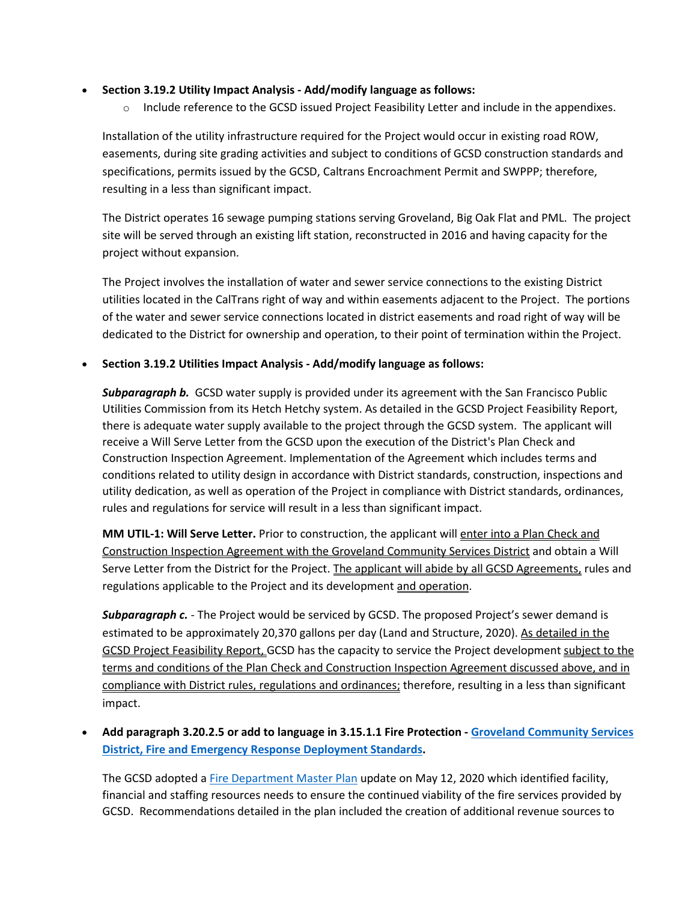# • **Section 3.19.2 Utility Impact Analysis - Add/modify language as follows:**

 $\circ$  Include reference to the GCSD issued Project Feasibility Letter and include in the appendixes.

Installation of the utility infrastructure required for the Project would occur in existing road ROW, easements, during site grading activities and subject to conditions of GCSD construction standards and specifications, permits issued by the GCSD, Caltrans Encroachment Permit and SWPPP; therefore, resulting in a less than significant impact.

The District operates 16 sewage pumping stations serving Groveland, Big Oak Flat and PML. The project site will be served through an existing lift station, reconstructed in 2016 and having capacity for the project without expansion.

The Project involves the installation of water and sewer service connections to the existing District utilities located in the CalTrans right of way and within easements adjacent to the Project. The portions of the water and sewer service connections located in district easements and road right of way will be dedicated to the District for ownership and operation, to their point of termination within the Project.

# • **Section 3.19.2 Utilities Impact Analysis - Add/modify language as follows:**

*Subparagraph b.* GCSD water supply is provided under its agreement with the San Francisco Public Utilities Commission from its Hetch Hetchy system. As detailed in the GCSD Project Feasibility Report, there is adequate water supply available to the project through the GCSD system. The applicant will receive a Will Serve Letter from the GCSD upon the execution of the District's Plan Check and Construction Inspection Agreement. Implementation of the Agreement which includes terms and conditions related to utility design in accordance with District standards, construction, inspections and utility dedication, as well as operation of the Project in compliance with District standards, ordinances, rules and regulations for service will result in a less than significant impact.

**MM UTIL-1: Will Serve Letter.** Prior to construction, the applicant will enter into a Plan Check and Construction Inspection Agreement with the Groveland Community Services District and obtain a Will Serve Letter from the District for the Project. The applicant will abide by all GCSD Agreements, rules and regulations applicable to the Project and its development and operation.

**Subparagraph c.** - The Project would be serviced by GCSD. The proposed Project's sewer demand is estimated to be approximately 20,370 gallons per day (Land and Structure, 2020). As detailed in the GCSD Project Feasibility Report, GCSD has the capacity to service the Project development subject to the terms and conditions of the Plan Check and Construction Inspection Agreement discussed above, and in compliance with District rules, regulations and ordinances; therefore, resulting in a less than significant impact.

# • **Add paragraph 3.20.2.5 or add to language in 3.15.1.1 Fire Protection - [Groveland Community Services](https://www.gcsd.org/files/9b8ea11fd/2720_resolution.pdf)  [District, Fire and Emergency Response Deployment Standards.](https://www.gcsd.org/files/9b8ea11fd/2720_resolution.pdf)**

The GCSD adopted a [Fire Department Master Plan](https://www.gcsd.org/files/73c99bb2b/gcsd_fire_master_plan_05122020.pdf) update on May 12, 2020 which identified facility, financial and staffing resources needs to ensure the continued viability of the fire services provided by GCSD. Recommendations detailed in the plan included the creation of additional revenue sources to